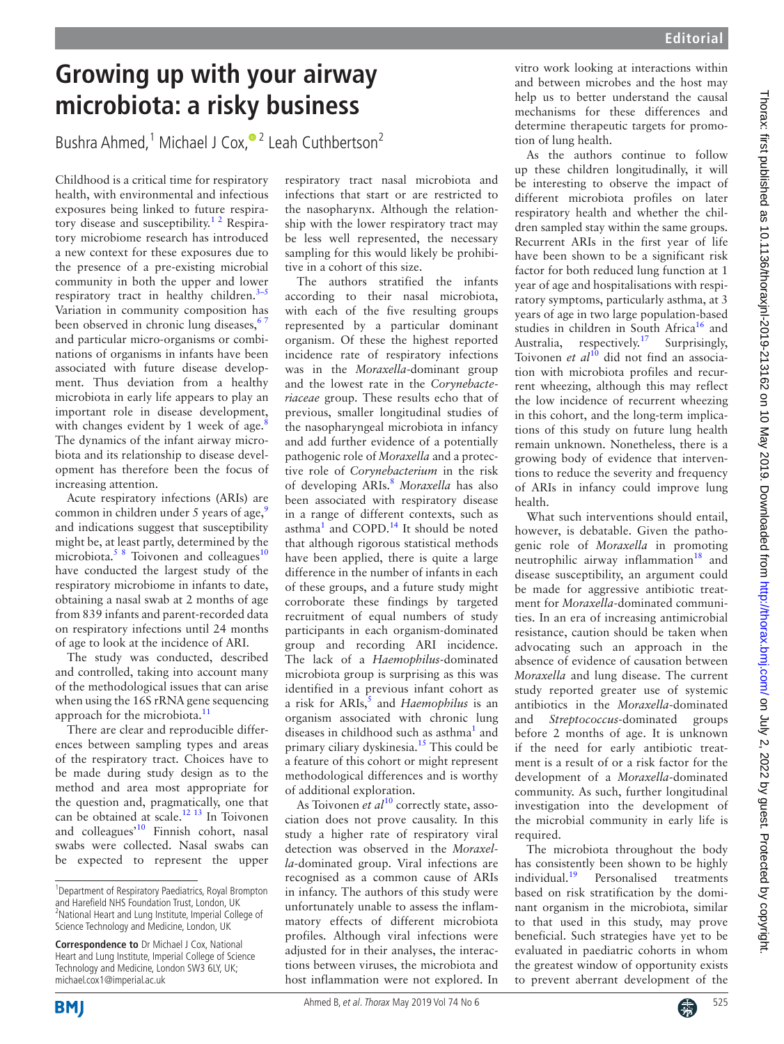## **Growing up with your airway microbiota: a risky business**

Bushra Ahmed,<sup>1</sup> Michael J Cox,<sup>® 2</sup> Leah Cuthbertson<sup>2</sup>

Childhood is a critical time for respiratory health, with environmental and infectious exposures being linked to future respiratory disease and susceptibility.<sup>12</sup> Respiratory microbiome research has introduced a new context for these exposures due to the presence of a pre-existing microbial community in both the upper and lower respiratory tract in healthy children. $3-5$ Variation in community composition has been observed in chronic lung diseases,<sup>6</sup> and particular micro-organisms or combinations of organisms in infants have been associated with future disease development. Thus deviation from a healthy microbiota in early life appears to play an important role in disease development, with changes evident by 1 week of age. $8$ The dynamics of the infant airway microbiota and its relationship to disease development has therefore been the focus of increasing attention.

Acute respiratory infections (ARIs) are common in children under 5 years of age, $\frac{9}{2}$  $\frac{9}{2}$  $\frac{9}{2}$ and indications suggest that susceptibility might be, at least partly, determined by the microbiota.<sup>5 8</sup> Toivonen and colleagues<sup>10</sup> have conducted the largest study of the respiratory microbiome in infants to date, obtaining a nasal swab at 2 months of age from 839 infants and parent-recorded data on respiratory infections until 24 months of age to look at the incidence of ARI.

The study was conducted, described and controlled, taking into account many of the methodological issues that can arise when using the 16S rRNA gene sequencing approach for the microbiota.<sup>11</sup>

There are clear and reproducible differences between sampling types and areas of the respiratory tract. Choices have to be made during study design as to the method and area most appropriate for the question and, pragmatically, one that can be obtained at scale[.12 13](#page-1-8) In Toivonen and colleagues'[10](#page-1-6) Finnish cohort, nasal swabs were collected. Nasal swabs can be expected to represent the upper

respiratory tract nasal microbiota and infections that start or are restricted to the nasopharynx. Although the relationship with the lower respiratory tract may be less well represented, the necessary sampling for this would likely be prohibitive in a cohort of this size.

The authors stratified the infants according to their nasal microbiota, with each of the five resulting groups represented by a particular dominant organism. Of these the highest reported incidence rate of respiratory infections was in the *Moraxella*-dominant group and the lowest rate in the *Corynebacteriaceae* group. These results echo that of previous, smaller longitudinal studies of the nasopharyngeal microbiota in infancy and add further evidence of a potentially pathogenic role of *Moraxella* and a protective role of *Corynebacterium* in the risk of developing ARIs.[8](#page-1-3) *Moraxella* has also been associated with respiratory disease in a range of different contexts, such as asthma<sup>[1](#page-1-0)</sup> and COPD.<sup>14</sup> It should be noted that although rigorous statistical methods have been applied, there is quite a large difference in the number of infants in each of these groups, and a future study might corroborate these findings by targeted recruitment of equal numbers of study participants in each organism-dominated group and recording ARI incidence. The lack of a *Haemophilus*-dominated microbiota group is surprising as this was identified in a previous infant cohort as a risk for ARIs,<sup>5</sup> and *Haemophilus* is an organism associated with chronic lung diseases in childhood such as asthma<sup>1</sup> and primary ciliary dyskinesia.<sup>15</sup> This could be a feature of this cohort or might represent methodological differences and is worthy of additional exploration.

As Toivonen *et al*<sup>10</sup> correctly state, association does not prove causality. In this study a higher rate of respiratory viral detection was observed in the *Moraxella*-dominated group. Viral infections are recognised as a common cause of ARIs in infancy. The authors of this study were unfortunately unable to assess the inflammatory effects of different microbiota profiles. Although viral infections were adjusted for in their analyses, the interactions between viruses, the microbiota and host inflammation were not explored. In vitro work looking at interactions within and between microbes and the host may help us to better understand the causal mechanisms for these differences and determine therapeutic targets for promotion of lung health.

As the authors continue to follow up these children longitudinally, it will be interesting to observe the impact of different microbiota profiles on later respiratory health and whether the children sampled stay within the same groups. Recurrent ARIs in the first year of life have been shown to be a significant risk factor for both reduced lung function at 1 year of age and hospitalisations with respiratory symptoms, particularly asthma, at 3 years of age in two large population-based studies in children in South Africa<sup>[16](#page-1-11)</sup> and Australia, respectively.<sup>[17](#page-1-12)</sup> Surprisingly, Toivonen et al<sup>[10](#page-1-6)</sup> did not find an association with microbiota profiles and recurrent wheezing, although this may reflect the low incidence of recurrent wheezing in this cohort, and the long-term implications of this study on future lung health remain unknown. Nonetheless, there is a growing body of evidence that interventions to reduce the severity and frequency of ARIs in infancy could improve lung health.

What such interventions should entail, however, is debatable. Given the pathogenic role of *Moraxella* in promoting neutrophilic airway inflammation $18$  and disease susceptibility, an argument could be made for aggressive antibiotic treatment for *Moraxella*-dominated communities. In an era of increasing antimicrobial resistance, caution should be taken when advocating such an approach in the absence of evidence of causation between *Moraxella* and lung disease. The current study reported greater use of systemic antibiotics in the *Moraxella*-dominated and *Streptococcus-*dominated groups before 2 months of age. It is unknown if the need for early antibiotic treatment is a result of or a risk factor for the development of a *Moraxella*-dominated community. As such, further longitudinal investigation into the development of the microbial community in early life is required.

The microbiota throughout the body has consistently been shown to be highly individual.<sup>19</sup> Personalised treatments based on risk stratification by the dominant organism in the microbiota, similar to that used in this study, may prove beneficial. Such strategies have yet to be evaluated in paediatric cohorts in whom the greatest window of opportunity exists to prevent aberrant development of the





<sup>&</sup>lt;sup>1</sup>Department of Respiratory Paediatrics, Royal Brompton and Harefield NHS Foundation Trust, London, UK <sup>2</sup>National Heart and Lung Institute, Imperial College of Science Technology and Medicine, London, UK

**Correspondence to** Dr Michael J Cox, National Heart and Lung Institute, Imperial College of Science Technology and Medicine, London SW3 6LY, UK; michael.cox1@imperial.ac.uk